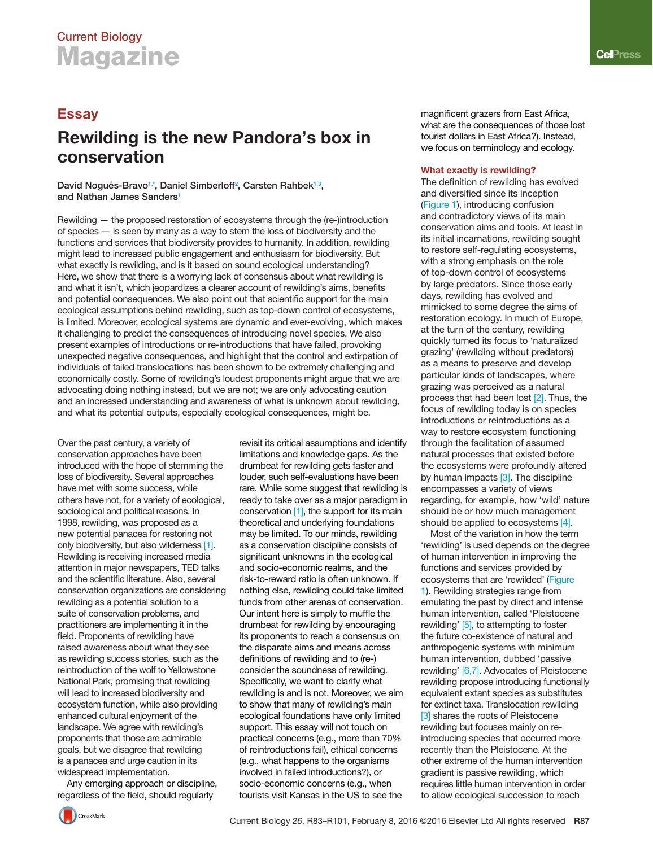### **Rewilding is the new Pandora's box in conservation**

 **David Nogués-Bravo1[,\\*,](#page-4-0) Daniel Simberlof[f2](#page-4-0) , Carsten Rahbe[k1,3,](#page-4-0) and Nathan James Sander[s1](#page-4-0)**

Rewilding — the proposed restoration of ecosystems through the (re-)introduction of species — is seen by many as a way to stem the loss of biodiversity and the functions and services that biodiversity provides to humanity. In addition, rewilding might lead to increased public engagement and enthusiasm for biodiversity. But what exactly is rewilding, and is it based on sound ecological understanding? Here, we show that there is a worrying lack of consensus about what rewilding is and what it isn't, which jeopardizes a clearer account of rewilding's aims, benefits and potential consequences. We also point out that scientific support for the main ecological assumptions behind rewilding, such as top-down control of ecosystems, is limited. Moreover, ecological systems are dynamic and ever-evolving, which makes it challenging to predict the consequences of introducing novel species. We also present examples of introductions or re-introductions that have failed, provoking unexpected negative consequences, and highlight that the control and extirpation of individuals of failed translocations has been shown to be extremely challenging and economically costly. Some of rewilding's loudest proponents might argue that we are advocating doing nothing instead, but we are not; we are only advocating caution and an increased understanding and awareness of what is unknown about rewilding, and what its potential outputs, especially ecological consequences, might be.

Over the past century, a variety of conservation approaches have been introduced with the hope of stemming the loss of biodiversity. Several approaches have met with some success, while others have not, for a variety of ecological, sociological and political reasons. In 1998, rewilding, was proposed as a new potential panacea for restoring not only biodiversity, but also wilderness [\[1\]](#page-4-0). Rewilding is receiving increased media attention in major newspapers, TED talks and the scientific literature. Also, several conservation organizations are considering rewilding as a potential solution to a suite of conservation problems, and practitioners are implementing it in the field. Proponents of rewilding have raised awareness about what they see as rewilding success stories, such as the reintroduction of the wolf to Yellowstone National Park, promising that rewilding will lead to increased biodiversity and ecosystem function, while also providing enhanced cultural enjoyment of the landscape. We agree with rewilding's proponents that those are admirable goals, but we disagree that rewilding is a panacea and urge caution in its widespread implementation.

Any emerging approach or discipline, regardless of the field, should regularly

revisit its critical assumptions and identify limitations and knowledge gaps. As the drumbeat for rewilding gets faster and louder, such self-evaluations have been rare. While some suggest that rewilding is ready to take over as a major paradigm in conservation [\[1\]](#page-4-0), the support for its main theoretical and underlying foundations may be limited. To our minds, rewilding as a conservation discipline consists of significant unknowns in the ecological and socio-economic realms, and the risk-to-reward ratio is often unknown. If nothing else, rewilding could take limited funds from other arenas of conservation. Our intent here is simply to muffle the drumbeat for rewilding by encouraging its proponents to reach a consensus on the disparate aims and means across definitions of rewilding and to (re-) consider the soundness of rewilding. Specifically, we want to clarify what rewilding is and is not. Moreover, we aim to show that many of rewilding's main ecological foundations have only limited support. This essay will not touch on practical concerns (e.g., more than 70% of reintroductions fail), ethical concerns (e.g., what happens to the organisms involved in failed introductions?), or socio-economic concerns (e.g., when tourists visit Kansas in the US to see the

**ESSAV** magnificent grazers from East Africa, what are the consequences of those lost tourist dollars in East Africa?). Instead, we focus on terminology and ecology.

### **What exactly is rewilding?**

The definition of rewilding has evolved and diversified since its inception [\(Figure 1\),](#page-1-0) introducing confusion and contradictory views of its main conservation aims and tools. At least in its initial incarnations, rewilding sought to restore self-regulating ecosystems, with a strong emphasis on the role of top-down control of ecosystems by large predators. Since those early days, rewilding has evolved and mimicked to some degree the aims of restoration ecology. In much of Europe, at the turn of the century, rewilding quickly turned its focus to 'naturalized grazing' (rewilding without predators) as a means to preserve and develop particular kinds of landscapes, where grazing was perceived as a natural process that had been lost [\[2\].](#page-4-0) Thus, the focus of rewilding today is on species introductions or reintroductions as a way to restore ecosystem functioning through the facilitation of assumed natural processes that existed before the ecosystems were profoundly altered by human impacts [\[3\]](#page-4-0). The discipline encompasses a variety of views regarding, for example, how 'wild' nature should be or how much management should be applied to ecosystems [\[4\]](#page-4-0).

Most of the variation in how the term 'rewilding' is used depends on the degree of human intervention in improving the functions and services provided by ecosystems that are 'rewilded' [\(Figure](#page-1-0)  [1\)](#page-1-0). Rewilding strategies range from emulating the past by direct and intense human intervention, called 'Pleistocene rewilding' [\[5\],](#page-4-0) to attempting to foster the future co-existence of natural and anthropogenic systems with minimum human intervention, dubbed 'passive rewilding' [\[6,7\].](#page-4-0) Advocates of Pleistocene rewilding propose introducing functionally equivalent extant species as substitutes for extinct taxa. Translocation rewilding [\[3\]](#page-4-0) shares the roots of Pleistocene rewilding but focuses mainly on reintroducing species that occurred more recently than the Pleistocene. At the other extreme of the human intervention gradient is passive rewilding, which requires little human intervention in order to allow ecological succession to reach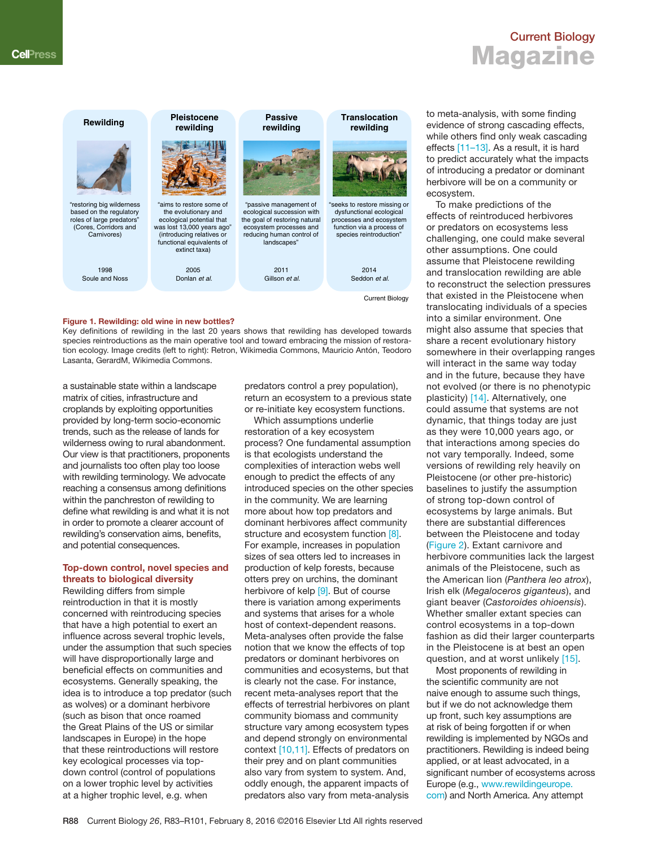<span id="page-1-0"></span>

#### **Figure 1. Rewilding: old wine in new bottles?**

Key definitions of rewilding in the last 20 years shows that rewilding has developed towards species reintroductions as the main operative tool and toward embracing the mission of restoration ecology. Image credits (left to right): Retron, Wikimedia Commons, Mauricio Antón, Teodoro Lasanta, GerardM, Wikimedia Commons.

a sustainable state within a landscape matrix of cities, infrastructure and croplands by exploiting opportunities provided by long-term socio-economic trends, such as the release of lands for wilderness owing to rural abandonment. Our view is that practitioners, proponents and journalists too often play too loose with rewilding terminology. We advocate reaching a consensus among definitions within the panchreston of rewilding to define what rewilding is and what it is not in order to promote a clearer account of rewilding's conservation aims, benefits, and potential consequences.

### **Top-down control, novel species and threats to biological diversity**

Rewilding differs from simple reintroduction in that it is mostly concerned with reintroducing species that have a high potential to exert an influence across several trophic levels, under the assumption that such species will have disproportionally large and beneficial effects on communities and ecosystems. Generally speaking, the idea is to introduce a top predator (such as wolves) or a dominant herbivore (such as bison that once roamed the Great Plains of the US or similar landscapes in Europe) in the hope that these reintroductions will restore key ecological processes via topdown control (control of populations on a lower trophic level by activities at a higher trophic level, e.g. when

predators control a prey population), return an ecosystem to a previous state or re-initiate key ecosystem functions.

Which assumptions underlie restoration of a key ecosystem process? One fundamental assumption is that ecologists understand the complexities of interaction webs well enough to predict the effects of any introduced species on the other species in the community. We are learning more about how top predators and dominant herbivores affect community structure and ecosystem function [\[8\].](#page-4-0) For example, increases in population sizes of sea otters led to increases in production of kelp forests, because otters prey on urchins, the dominant herbivore of kelp [\[9\]](#page-4-0). But of course there is variation among experiments and systems that arises for a whole host of context-dependent reasons. Meta-analyses often provide the false notion that we know the effects of top predators or dominant herbivores on communities and ecosystems, but that is clearly not the case. For instance, recent meta-analyses report that the effects of terrestrial herbivores on plant community biomass and community structure vary among ecosystem types and depend strongly on environmental context [\[10,11\].](#page-4-0) Effects of predators on their prey and on plant communities also vary from system to system. And, oddly enough, the apparent impacts of predators also vary from meta-analysis

to meta-analysis, with some finding evidence of strong cascading effects, while others find only weak cascading effects [11-13]. As a result, it is hard to predict accurately what the impacts of introducing a predator or dominant herbivore will be on a community or

To make predictions of the effects of reintroduced herbivores or predators on ecosystems less challenging, one could make several other assumptions. One could assume that Pleistocene rewilding and translocation rewilding are able to reconstruct the selection pressures that existed in the Pleistocene when translocating individuals of a species into a similar environment. One might also assume that species that share a recent evolutionary history somewhere in their overlapping ranges will interact in the same way today and in the future, because they have not evolved (or there is no phenotypic plasticity) [[14\]](#page-4-0). Alternatively, one could assume that systems are not dynamic, that things today are just as they were 10,000 years ago, or that interactions among species do not vary temporally. Indeed, some versions of rewilding rely heavily on Pleistocene (or other pre-historic) baselines to justify the assumption of strong top-down control of ecosystems by large animals. But there are substantial differences between the Pleistocene and today [\(Figure 2\)](#page-2-0). Extant carnivore and herbivore communities lack the largest animals of the Pleistocene, such as the American lion (*Panthera leo atrox*), Irish elk (*Megaloceros giganteus*), and giant beaver (*Castoroides ohioensis*). Whether smaller extant species can control ecosystems in a top-down fashion as did their larger counterparts in the Pleistocene is at best an open question, and at worst unlikely [\[15\]](#page-4-0).

Most proponents of rewilding in the scientific community are not naive enough to assume such things, but if we do not acknowledge them up front, such key assumptions are at risk of being forgotten if or when rewilding is implemented by NGOs and practitioners. Rewilding is indeed being applied, or at least advocated, in a significant number of ecosystems across Europe (e.g., [www.rewildingeurope.](http://www.rewildingeurope.com) [com\)](http://www.rewildingeurope.com) and North America. Any attempt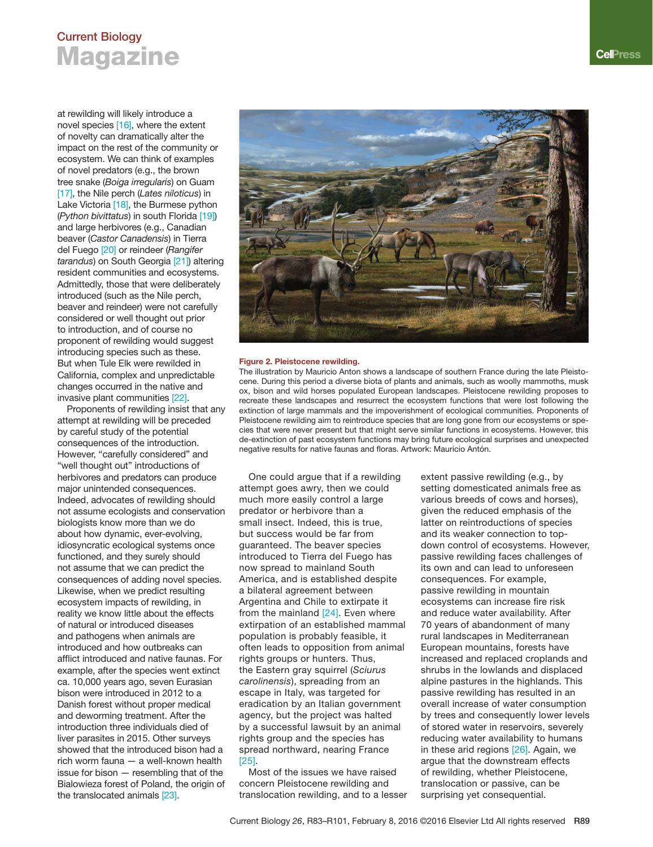<span id="page-2-0"></span>at rewilding will likely introduce a novel species [\[16\]](#page-4-0), where the extent of novelty can dramatically alter the impact on the rest of the community or ecosystem. We can think of examples of novel predators (e.g., the brown tree snake (*Boiga irregularis*) on Guam [\[17\],](#page-4-0) the Nile perch (*Lates niloticus*) in Lake Victoria [\[18\]](#page-4-0), the Burmese python (*Python bivittatus*) in south Florida [\[19\]](#page-4-0)) and large herbivores (e.g., Canadian beaver (*Castor Canadensis*) in Tierra del Fuego [\[20\]](#page-4-0) or reindeer (*Rangifer tarandus*) on South Georgia [\[21\]](#page-4-0)) altering resident communities and ecosystems. Admittedly, those that were deliberately introduced (such as the Nile perch, beaver and reindeer) were not carefully considered or well thought out prior to introduction, and of course no proponent of rewilding would suggest introducing species such as these. But when Tule Elk were rewilded in California, complex and unpredictable changes occurred in the native and invasive plant communities [\[22\]](#page-4-0).

Proponents of rewilding insist that any attempt at rewilding will be preceded by careful study of the potential consequences of the introduction. However, "carefully considered" and "well thought out" introductions of herbivores and predators can produce major unintended consequences. Indeed, advocates of rewilding should not assume ecologists and conservation biologists know more than we do about how dynamic, ever-evolving, idiosyncratic ecological systems once functioned, and they surely should not assume that we can predict the consequences of adding novel species. Likewise, when we predict resulting ecosystem impacts of rewilding, in reality we know little about the effects of natural or introduced diseases and pathogens when animals are introduced and how outbreaks can afflict introduced and native faunas. For example, after the species went extinct ca. 10,000 years ago, seven Eurasian bison were introduced in 2012 to a Danish forest without proper medical and deworming treatment. After the introduction three individuals died of liver parasites in 2015. Other surveys showed that the introduced bison had a rich worm fauna — a well-known health issue for bison — resembling that of the Bialowieza forest of Poland, the origin of the translocated animals [\[23\].](#page-4-0)



#### **Figure 2. Pleistocene rewilding.**

The illustration by Mauricio Anton shows a landscape of southern France during the late Pleistocene. During this period a diverse biota of plants and animals, such as woolly mammoths, musk ox, bison and wild horses populated European landscapes. Pleistocene rewilding proposes to recreate these landscapes and resurrect the ecosystem functions that were lost following the extinction of large mammals and the impoverishment of ecological communities. Proponents of Pleistocene rewilding aim to reintroduce species that are long gone from our ecosystems or species that were never present but that might serve similar functions in ecosystems. However, this de-extinction of past ecosystem functions may bring future ecological surprises and unexpected negative results for native faunas and floras. Artwork: Mauricio Antón.

One could argue that if a rewilding attempt goes awry, then we could much more easily control a large predator or herbivore than a small insect. Indeed, this is true, but success would be far from guaranteed. The beaver species introduced to Tierra del Fuego has now spread to mainland South America, and is established despite a bilateral agreement between Argentina and Chile to extirpate it from the mainland [\[24\]](#page-4-0). Even where extirpation of an established mammal population is probably feasible, it often leads to opposition from animal rights groups or hunters. Thus, the Eastern gray squirrel (*Sciurus carolinensis*), spreading from an escape in Italy, was targeted for eradication by an Italian government agency, but the project was halted by a successful lawsuit by an animal rights group and the species has spread northward, nearing France [\[25\]](#page-4-0).

Most of the issues we have raised concern Pleistocene rewilding and translocation rewilding, and to a lesser

extent passive rewilding (e.g., by setting domesticated animals free as various breeds of cows and horses), given the reduced emphasis of the latter on reintroductions of species and its weaker connection to topdown control of ecosystems. However, passive rewilding faces challenges of its own and can lead to unforeseen consequences. For example, passive rewilding in mountain ecosystems can increase fire risk and reduce water availability. After 70 years of abandonment of many rural landscapes in Mediterranean European mountains, forests have increased and replaced croplands and shrubs in the lowlands and displaced alpine pastures in the highlands. This passive rewilding has resulted in an overall increase of water consumption by trees and consequently lower levels of stored water in reservoirs, severely reducing water availability to humans in these arid regions [\[26\]](#page-4-0). Again, we argue that the downstream effects of rewilding, whether Pleistocene, translocation or passive, can be surprising yet consequential.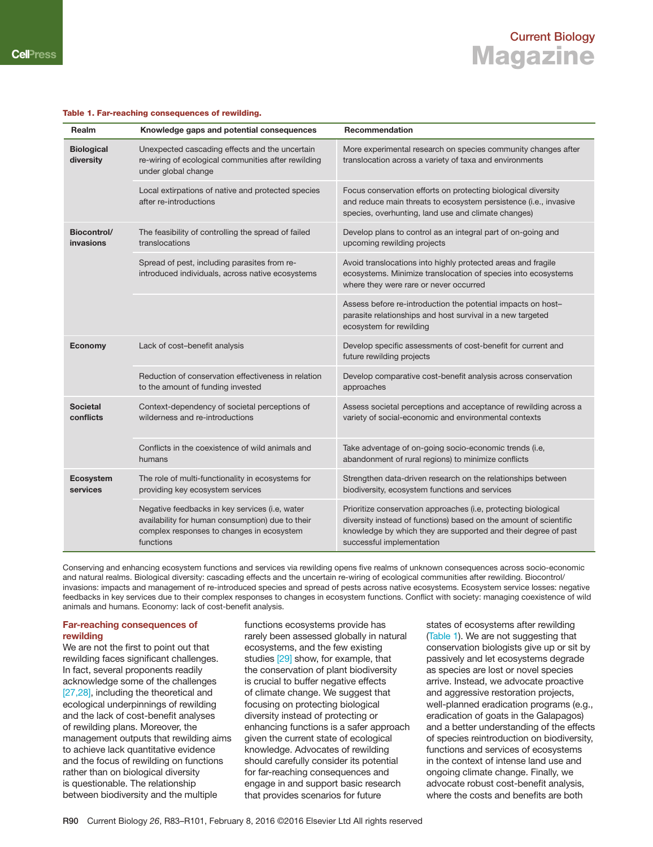#### **Table 1. Far-reaching consequences of rewilding.**

| Realm                          | Knowledge gaps and potential consequences                                                                                                                    | Recommendation                                                                                                                                                                                                                     |
|--------------------------------|--------------------------------------------------------------------------------------------------------------------------------------------------------------|------------------------------------------------------------------------------------------------------------------------------------------------------------------------------------------------------------------------------------|
| <b>Biological</b><br>diversity | Unexpected cascading effects and the uncertain<br>re-wiring of ecological communities after rewilding<br>under global change                                 | More experimental research on species community changes after<br>translocation across a variety of taxa and environments                                                                                                           |
|                                | Local extirpations of native and protected species<br>after re-introductions                                                                                 | Focus conservation efforts on protecting biological diversity<br>and reduce main threats to ecosystem persistence (i.e., invasive<br>species, overhunting, land use and climate changes)                                           |
| Biocontrol/<br>invasions       | The feasibility of controlling the spread of failed<br>translocations                                                                                        | Develop plans to control as an integral part of on-going and<br>upcoming rewilding projects                                                                                                                                        |
|                                | Spread of pest, including parasites from re-<br>introduced individuals, across native ecosystems                                                             | Avoid translocations into highly protected areas and fragile<br>ecosystems. Minimize translocation of species into ecosystems<br>where they were rare or never occurred                                                            |
|                                |                                                                                                                                                              | Assess before re-introduction the potential impacts on host-<br>parasite relationships and host survival in a new targeted<br>ecosystem for rewilding                                                                              |
| <b>Economy</b>                 | Lack of cost-benefit analysis                                                                                                                                | Develop specific assessments of cost-benefit for current and<br>future rewilding projects                                                                                                                                          |
|                                | Reduction of conservation effectiveness in relation<br>to the amount of funding invested                                                                     | Develop comparative cost-benefit analysis across conservation<br>approaches                                                                                                                                                        |
| <b>Societal</b><br>conflicts   | Context-dependency of societal perceptions of<br>wilderness and re-introductions                                                                             | Assess societal perceptions and acceptance of rewilding across a<br>variety of social-economic and environmental contexts                                                                                                          |
|                                | Conflicts in the coexistence of wild animals and<br>humans                                                                                                   | Take adventage of on-going socio-economic trends (i.e,<br>abandonment of rural regions) to minimize conflicts                                                                                                                      |
| Ecosystem<br>services          | The role of multi-functionality in ecosystems for<br>providing key ecosystem services                                                                        | Strengthen data-driven research on the relationships between<br>biodiversity, ecosystem functions and services                                                                                                                     |
|                                | Negative feedbacks in key services (i.e, water<br>availability for human consumption) due to their<br>complex responses to changes in ecosystem<br>functions | Prioritize conservation approaches (i.e, protecting biological<br>diversity instead of functions) based on the amount of scientific<br>knowledge by which they are supported and their degree of past<br>successful implementation |

Conserving and enhancing ecosystem functions and services via rewilding opens five realms of unknown consequences across socio-economic and natural realms. Biological diversity: cascading effects and the uncertain re-wiring of ecological communities after rewilding. Biocontrol/ invasions: impacts and management of re-introduced species and spread of pests across native ecosystems. Ecosystem service losses: negative feedbacks in key services due to their complex responses to changes in ecosystem functions. Conflict with society: managing coexistence of wild animals and humans. Economy: lack of cost-benefit analysis.

### **Far-reaching consequences of rewilding**

We are not the first to point out that rewilding faces significant challenges. In fact, several proponents readily acknowledge some of the challenges [\[27,28\],](#page-4-0) including the theoretical and ecological underpinnings of rewilding and the lack of cost-benefit analyses of rewilding plans. Moreover, the management outputs that rewilding aims to achieve lack quantitative evidence and the focus of rewilding on functions rather than on biological diversity is questionable. The relationship between biodiversity and the multiple

functions ecosystems provide has rarely been assessed globally in natural ecosystems, and the few existing studies [\[29\]](#page-4-0) show, for example, that the conservation of plant biodiversity is crucial to buffer negative effects of climate change. We suggest that focusing on protecting biological diversity instead of protecting or enhancing functions is a safer approach given the current state of ecological knowledge. Advocates of rewilding should carefully consider its potential for far-reaching consequences and engage in and support basic research that provides scenarios for future

states of ecosystems after rewilding (Table 1). We are not suggesting that conservation biologists give up or sit by passively and let ecosystems degrade as species are lost or novel species arrive. Instead, we advocate proactive and aggressive restoration projects, well-planned eradication programs (e.g., eradication of goats in the Galapagos) and a better understanding of the effects of species reintroduction on biodiversity, functions and services of ecosystems in the context of intense land use and ongoing climate change. Finally, we advocate robust cost-benefit analysis, where the costs and benefits are both